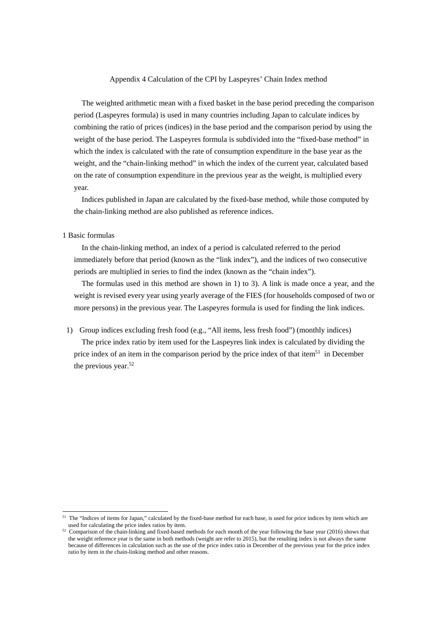#### Appendix 4 Calculation of the CPI by Laspeyres' Chain Index method

The weighted arithmetic mean with a fixed basket in the base period preceding the comparison period (Laspeyres formula) is used in many countries including Japan to calculate indices by combining the ratio of prices (indices) in the base period and the comparison period by using the weight of the base period. The Laspeyres formula is subdivided into the "fixed-base method" in which the index is calculated with the rate of consumption expenditure in the base year as the weight, and the "chain-linking method" in which the index of the current year, calculated based on the rate of consumption expenditure in the previous year as the weight, is multiplied every year.

Indices published in Japan are calculated by the fixed-base method, while those computed by the chain-linking method are also published as reference indices.

## 1 Basic formulas

-

In the chain-linking method, an index of a period is calculated referred to the period immediately before that period (known as the "link index"), and the indices of two consecutive periods are multiplied in series to find the index (known as the "chain index").

The formulas used in this method are shown in 1) to 3). A link is made once a year, and the weight is revised every year using yearly average of the FIES (for households composed of two or more persons) in the previous year. The Laspeyres formula is used for finding the link indices.

1) Group indices excluding fresh food (e.g., "All items, less fresh food") (monthly indices) The price index ratio by item used for the Laspeyres link index is calculated by dividing the price index of an item in the comparison period by the price index of that item<sup>51</sup> in December the previous year.<sup>52</sup>

 $51$  The "Indices of items for Japan," calculated by the fixed-base method for each base, is used for price indices by item which are

used for calculating the price index ratios by item.<br> $52$  Comparison of the chain-linking and fixed-based methods for each month of the year following the base year (2016) shows that the weight reference year is the same in both methods (weight are refer to 2015), but the resulting index is not always the same because of differences in calculation such as the use of the price index ratio in December of the previous year for the price index ratio by item in the chain-linking method and other reasons.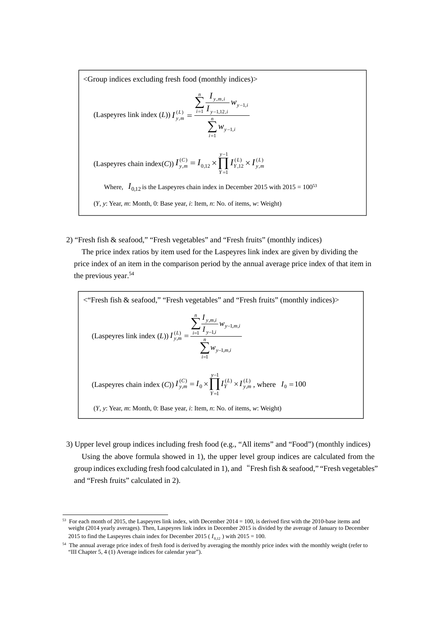<Group indices excluding fresh food (monthly indices)>

(Laspeyres link index (*L*)) 
$$
I_{y,m}^{(L)} = \frac{\sum_{i=1}^{n} \frac{I_{y,m,i}}{I_{y-1,12,i}} w_{y-1,i}}{\sum_{i=1}^{n} w_{y-1,i}}
$$
  
\n(Laspeyres chain index(*C*))  $I_{y,m}^{(C)} = I_{0,12} \times \prod_{Y=1}^{y-1} I_{Y,12}^{(L)} \times I_{y,m}^{(L)}$   
\nWhere,  $I_{0,12}$  is the Laspeyres chain index in December 2015 with 2015 = 100<sup>53</sup>  
\n(*Y*, *y*: Year, *m*: Month, 0: Base year, *i*: Item, *n*: No. of items, *w*: Weight)

2) "Fresh fish & seafood," "Fresh vegetables" and "Fresh fruits" (monthly indices)

The price index ratios by item used for the Laspeyres link index are given by dividing the price index of an item in the comparison period by the annual average price index of that item in the previous year.<sup>[54](#page-1-1)</sup>

<sup>c</sup> "Fresh fish & seafood," "Fresh vegetables" and "Fresh fruits" (monthly indices)>\n
$$
\text{(Laspeyres link index } (L)) \ I_{y,m}^{(L)} = \frac{\sum_{i=1}^{n} \frac{I_{y,m,i}}{I_{y-1,m}} w_{y-1,m,i}}{\sum_{i=1}^{n} w_{y-1,m,i}}
$$
\n
$$
\text{(Laspeyres chain index } (C)) \ I_{y,m}^{(C)} = I_0 \times \prod_{Y=1}^{y-1} I_Y^{(L)} \times I_{y,m}^{(L)}, \text{ where } I_0 = 100
$$
\n
$$
(Y, y: Year, m: Month, 0: Base year, i: Item, n: No. of items, w: Weight)
$$

3) Upper level group indices including fresh food (e.g., "All items" and "Food") (monthly indices) Using the above formula showed in 1), the upper level group indices are calculated from the group indices excluding fresh food calculated in 1), and "Fresh fish & seafood," "Fresh vegetables" and "Fresh fruits" calculated in 2).

-

<span id="page-1-0"></span> $53$  For each month of 2015, the Laspeyres link index, with December 2014 = 100, is derived first with the 2010-base items and weight (2014 yearly averages). Then, Laspeyres link index in December 2015 is divided by the average of January to December 2015 to find the Laspeyres chain index for December 2015 ( $I_{0,12}$ ) with 2015 = 100.

<span id="page-1-1"></span><sup>&</sup>lt;sup>54</sup> The annual average price index of fresh food is derived by averaging the monthly price index with the monthly weight (refer to "III Chapter 5, 4 (1) Average indices for calendar year").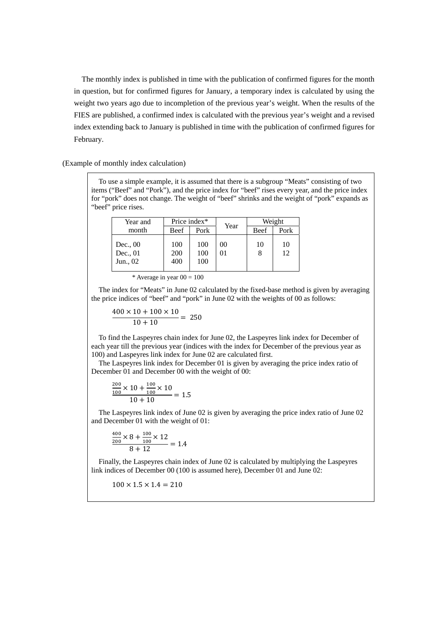The monthly index is published in time with the publication of confirmed figures for the month in question, but for confirmed figures for January, a temporary index is calculated by using the weight two years ago due to incompletion of the previous year's weight. When the results of the FIES are published, a confirmed index is calculated with the previous year's weight and a revised index extending back to January is published in time with the publication of confirmed figures for February.

(Example of monthly index calculation)

To use a simple example, it is assumed that there is a subgroup "Meats" consisting of two items ("Beef" and "Pork"), and the price index for "beef" rises every year, and the price index for "pork" does not change. The weight of "beef" shrinks and the weight of "pork" expands as "beef" price rises.

| Year and                           | Price index*      |                   | Year     | Weight |          |
|------------------------------------|-------------------|-------------------|----------|--------|----------|
| month                              | Beef              | Pork              |          | Beef   | Pork     |
| Dec., $00$<br>Dec., 01<br>Jun., 02 | 100<br>200<br>400 | 100<br>100<br>100 | 00<br>01 | 10     | 10<br>12 |

| * Average in year $00 = 100$ |  |  |  |  |  |  |
|------------------------------|--|--|--|--|--|--|
|------------------------------|--|--|--|--|--|--|

The index for "Meats" in June 02 calculated by the fixed-base method is given by averaging the price indices of "beef" and "pork" in June 02 with the weights of 00 as follows:

$$
\frac{400 \times 10 + 100 \times 10}{10 + 10} = 250
$$

To find the Laspeyres chain index for June 02, the Laspeyres link index for December of each year till the previous year (indices with the index for December of the previous year as 100) and Laspeyres link index for June 02 are calculated first.

The Laspeyres link index for December 01 is given by averaging the price index ratio of December 01 and December 00 with the weight of 00:

$$
\frac{\frac{200}{100} \times 10 + \frac{100}{100} \times 10}{10 + 10} = 1.5
$$

The Laspeyres link index of June 02 is given by averaging the price index ratio of June 02 and December 01 with the weight of 01:

$$
\frac{\frac{400}{200} \times 8 + \frac{100}{100} \times 12}{8 + 12} = 1.4
$$

Finally, the Laspeyres chain index of June 02 is calculated by multiplying the Laspeyres link indices of December 00 (100 is assumed here), December 01 and June 02:

$$
100 \times 1.5 \times 1.4 = 210
$$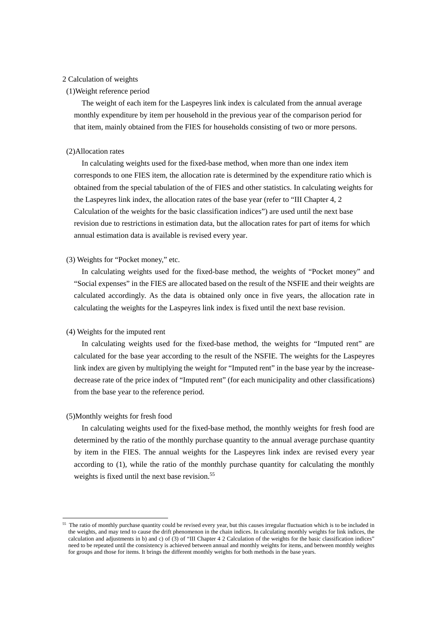# 2 Calculation of weights

## (1)Weight reference period

The weight of each item for the Laspeyres link index is calculated from the annual average monthly expenditure by item per household in the previous year of the comparison period for that item, mainly obtained from the FIES for households consisting of two or more persons.

#### (2)Allocation rates

In calculating weights used for the fixed-base method, when more than one index item corresponds to one FIES item, the allocation rate is determined by the expenditure ratio which is obtained from the special tabulation of the of FIES and other statistics. In calculating weights for the Laspeyres link index, the allocation rates of the base year (refer to "III Chapter 4, 2 Calculation of the weights for the basic classification indices") are used until the next base revision due to restrictions in estimation data, but the allocation rates for part of items for which annual estimation data is available is revised every year.

# (3) Weights for "Pocket money," etc.

In calculating weights used for the fixed-base method, the weights of "Pocket money" and "Social expenses" in the FIES are allocated based on the result of the NSFIE and their weights are calculated accordingly. As the data is obtained only once in five years, the allocation rate in calculating the weights for the Laspeyres link index is fixed until the next base revision.

# (4) Weights for the imputed rent

In calculating weights used for the fixed-base method, the weights for "Imputed rent" are calculated for the base year according to the result of the NSFIE. The weights for the Laspeyres link index are given by multiplying the weight for "Imputed rent" in the base year by the increasedecrease rate of the price index of "Imputed rent" (for each municipality and other classifications) from the base year to the reference period.

# (5)Monthly weights for fresh food

-

In calculating weights used for the fixed-base method, the monthly weights for fresh food are determined by the ratio of the monthly purchase quantity to the annual average purchase quantity by item in the FIES. The annual weights for the Laspeyres link index are revised every year according to (1), while the ratio of the monthly purchase quantity for calculating the monthly weights is fixed until the next base revision.<sup>55</sup>

<sup>&</sup>lt;sup>55</sup> The ratio of monthly purchase quantity could be revised every year, but this causes irregular fluctuation which is to be included in the weights, and may tend to cause the drift phenomenon in the chain indices. In calculating monthly weights for link indices, the calculation and adjustments in b) and c) of (3) of "III Chapter 4 2 Calculation of the weights for the basic classification indices" need to be repeated until the consistency is achieved between annual and monthly weights for items, and between monthly weights for groups and those for items. It brings the different monthly weights for both methods in the base years.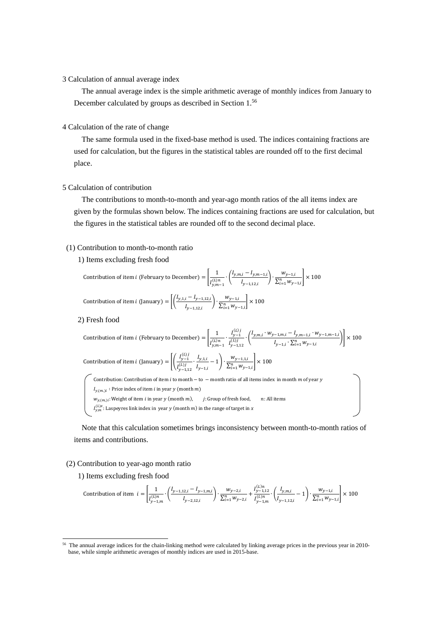#### 3 Calculation of annual average index

The annual average index is the simple arithmetic average of monthly indices from January to December calculated by groups as described in Section 1.56

# 4 Calculation of the rate of change

The same formula used in the fixed-base method is used. The indices containing fractions are used for calculation, but the figures in the statistical tables are rounded off to the first decimal place.

#### 5 Calculation of contribution

The contributions to month-to-month and year-ago month ratios of the all items index are given by the formulas shown below. The indices containing fractions are used for calculation, but the figures in the statistical tables are rounded off to the second decimal place.

# (1) Contribution to month-to-month ratio

1) Items excluding fresh food

Contribution of item *i* (February to December) =  $\frac{1}{\sqrt{N}}$  $\frac{1}{I_{y,m-1}^{(l),n}} \cdot \left( \frac{I_{y,m,i} - I_{y,m-1,i}}{I_{y-1,12,i}} \right) \cdot \frac{w_{y-1,i}}{\sum_{i=1}^{n} w_{y-1,i}} \times 100$ Contribution of item *i* (January) =  $\left[ \left( \frac{I_{y,1,i} - I_{y-1,12,i}}{I_{y-1,12,i}} \right) \cdot \frac{w_{y-1,i}}{\sum_{i=1}^{n} w_{y-1,i}} \right] \times 100$ 

2) Fresh food

Contribution of item *i* (February to December) =

\n
$$
\left[ \frac{1}{I_{y,m-1}^{(L)j}} \cdot \frac{I_{y-1}^{(L)j}}{I_{y-1,12}^{(L)j}} \cdot \left( \frac{I_{y,m,i} \cdot w_{y-1,m,i} - I_{y,m-1,i} \cdot w_{y-1,m-1,i}}{I_{y-1,i} \cdot \sum_{i=1}^{n} w_{y-1,i}} \right) \right] \times 100
$$
\nContribution of item *i* (January) =

\n
$$
\left[ \left( \frac{I_{y-1}^{(L)j}}{I_{y-1,12}^{(L)j}} \cdot \frac{I_{y,1,i}}{I_{y-1,i}} - 1 \right) \cdot \frac{w_{y-1,1,i}}{\sum_{i=1}^{n} w_{y-1,i}} \right] \times 100
$$
\nContribution: contribution of item *i* to month – to – month ratio of all items index in month *m* of year *y*

\n
$$
I_{y,(m,i)}: \text{Price index of item } i \text{ in year } y \text{ (month } m)
$$
\nwhere *w* is the number of times in year *y* is the number of times in year *y* is the number of times in year *y* is the number of times in year *y* is the number of times in year *y* is the number of times in year *y* is the number of times in year *y* is the number of times in year *y* is the number of times in year *y* is the number of times in year *y* is the number of times in year *y* is the number of times in year *y* is the number of times in year *y* is the number of times in year *y* is the number of times in year *y* is the number of times in year *y* is the number of times in year *y* is the number of times in year *y* is the number of times in year *y* is the number of times in year *y* is the number of times in year *y* is the number of times in year *y* is the number of times in year *y* is the number of times in year *y* is the number of times in year *y* is the number of times in year *y* is the number of times in year *y* is the number of times in year *y* is the number of times in

r y (month  $m$ ),  $j:$  Group of fresh food,

 $I_{y,m}^{(L)x}$ : Laspeyres link index in year y (month m) in the range of target in x

Note that this calculation sometimes brings inconsistency between month-to-month ratios of items and contributions.

## (2) Contribution to year-ago month ratio

1) Items excluding fresh food

-

$$
\text{Contribution of item } i = \left[\frac{1}{I_{y-1,m}^{(L)n}} \cdot \left(\frac{I_{y-1,12,i} - I_{y-1,m,i}}{I_{y-2,12,i}}\right) \cdot \frac{w_{y-2,i}}{\sum_{i=1}^{n} w_{y-2,i}} + \frac{I_{y-1,12}^{(L)n}}{I_{y-1,m}^{(L)n}} \cdot \left(\frac{I_{y,m,i}}{I_{y-1,12,i}} - 1\right) \cdot \frac{w_{y-1,i}}{\sum_{i=1}^{n} w_{y-1,i}}\right] \times 100
$$

<sup>56</sup> The annual average indices for the chain-linking method were calculated by linking average prices in the previous year in 2010 base, while simple arithmetic averages of monthly indices are used in 2015-base.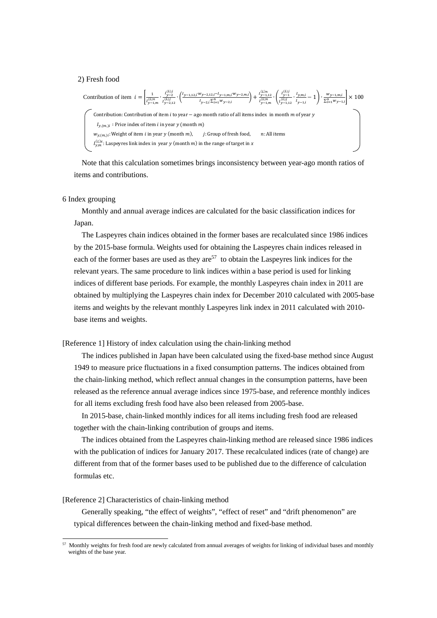#### 2) Fresh food

Continuation of item 
$$
i = \left[\frac{1}{l_{y-1,m}^{(L)}} \cdot \frac{l_{y-2}^{(L)j}}{l_{y-2,m}^{(L)j}} \cdot \left(\frac{l_{y-1,12,i}^{(W)} \cdot v_{y-2,12,i} - l_{y-1,m,i}^{(W)} \cdot v_{y-2,m,i}}{l_{y-2,i} \cdot \sum_{l=1}^{n} w_{y-2,l}}\right) + \frac{l_{y-1,12}^{(L)n}}{l_{y-1,m}^{(L)n}} \cdot \left(\frac{l_{y-1}^{(L)j}}{l_{y-1,12}^{(L)j}} \cdot \frac{l_{y,m,i}}{l_{y-1,i}^{(L)j}} - 1\right) \cdot \frac{w_{y-1,m,i}}{\sum_{l=1}^{n} w_{y-1,l}} \right] \times 100
$$
\nContribution: Contribution of item *i* to year – ago month ratio of all items index in month *m* of year *y*

\n $l_{y,(m,i)}$ : Price index of item *i* in year *y* (month *m*).

\n $j$ : Group of fresh food, *n*: All items

\n $l_{y,m}^{(L)x}$ : Laspeyres link index in year *y* (month *m*), *j*: Group of fresh food, *n*: All items

Note that this calculation sometimes brings inconsistency between year-ago month ratios of items and contributions.

## 6 Index grouping

Monthly and annual average indices are calculated for the basic classification indices for Japan.

The Laspeyres chain i[ndi](#page-5-0)ces obtained in the former bases are recalculated since 1986 indices by the 2015-base formula. Weights used for obtaining the Laspeyres chain indices released in each of the former bases are used as they are  $57$  to obtain the Laspeyres link indices for the relevant years. The same procedure to link indices within a base period is used for linking indices of different base periods. For example, the monthly Laspeyres chain index in 2011 are obtained by multiplying the Laspeyres chain index for December 2010 calculated with 2005-base items and weights by the relevant monthly Laspeyres link index in 2011 calculated with 2010 base items and weights.

# [Reference 1] History of index calculation using the chain-linking method

The indices published in Japan have been calculated using the fixed-base method since August 1949 to measure price fluctuations in a fixed consumption patterns. The indices obtained from the chain-linking method, which reflect annual changes in the consumption patterns, have been released as the reference annual average indices since 1975-base, and reference monthly indices for all items excluding fresh food have also been released from 2005-base.

In 2015-base, chain-linked monthly indices for all items including fresh food are released together with the chain-linking contribution of groups and items.

The indices obtained from the Laspeyres chain-linking method are released since 1986 indices with the publication of indices for January 2017. These recalculated indices (rate of change) are different from that of the former bases used to be published due to the difference of calculation formulas etc.

## [Reference 2] Characteristics of chain-linking method

-

Generally speaking, "the effect of weights", "effect of reset" and "drift phenomenon" are typical differences between the chain-linking method and fixed-base method.

<span id="page-5-0"></span><sup>&</sup>lt;sup>57</sup> Monthly weights for fresh food are newly calculated from annual averages of weights for linking of individual bases and monthly weights of the base year.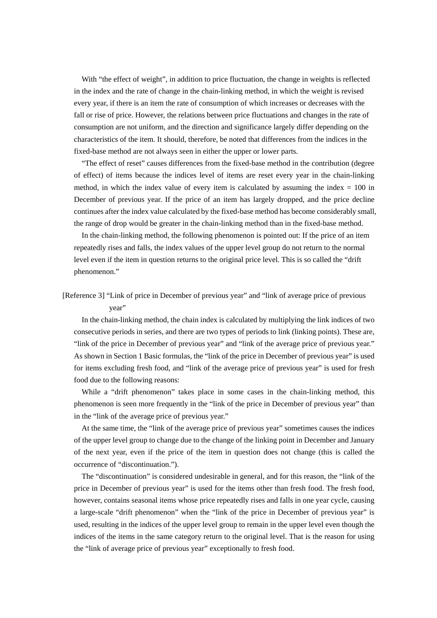With "the effect of weight", in addition to price fluctuation, the change in weights is reflected in the index and the rate of change in the chain-linking method, in which the weight is revised every year, if there is an item the rate of consumption of which increases or decreases with the fall or rise of price. However, the relations between price fluctuations and changes in the rate of consumption are not uniform, and the direction and significance largely differ depending on the characteristics of the item. It should, therefore, be noted that differences from the indices in the fixed-base method are not always seen in either the upper or lower parts.

"The effect of reset" causes differences from the fixed-base method in the contribution (degree of effect) of items because the indices level of items are reset every year in the chain-linking method, in which the index value of every item is calculated by assuming the index  $= 100$  in December of previous year. If the price of an item has largely dropped, and the price decline continues after the index value calculated by the fixed-base method has become considerably small, the range of drop would be greater in the chain-linking method than in the fixed-base method.

In the chain-linking method, the following phenomenon is pointed out: If the price of an item repeatedly rises and falls, the index values of the upper level group do not return to the normal level even if the item in question returns to the original price level. This is so called the "drift phenomenon."

[Reference 3] "Link of price in December of previous year" and "link of average price of previous year"

In the chain-linking method, the chain index is calculated by multiplying the link indices of two consecutive periods in series, and there are two types of periods to link (linking points). These are, "link of the price in December of previous year" and "link of the average price of previous year." As shown in Section 1 Basic formulas, the "link of the price in December of previous year" is used for items excluding fresh food, and "link of the average price of previous year" is used for fresh food due to the following reasons:

While a "drift phenomenon" takes place in some cases in the chain-linking method, this phenomenon is seen more frequently in the "link of the price in December of previous year" than in the "link of the average price of previous year."

At the same time, the "link of the average price of previous year" sometimes causes the indices of the upper level group to change due to the change of the linking point in December and January of the next year, even if the price of the item in question does not change (this is called the occurrence of "discontinuation.").

The "discontinuation" is considered undesirable in general, and for this reason, the "link of the price in December of previous year" is used for the items other than fresh food. The fresh food, however, contains seasonal items whose price repeatedly rises and falls in one year cycle, causing a large-scale "drift phenomenon" when the "link of the price in December of previous year" is used, resulting in the indices of the upper level group to remain in the upper level even though the indices of the items in the same category return to the original level. That is the reason for using the "link of average price of previous year" exceptionally to fresh food.